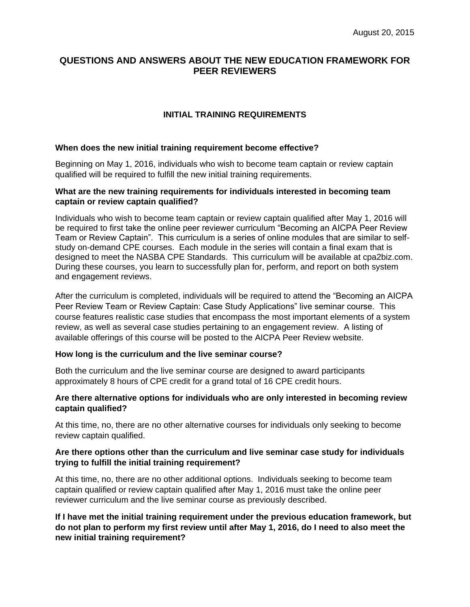# **QUESTIONS AND ANSWERS ABOUT THE NEW EDUCATION FRAMEWORK FOR PEER REVIEWERS**

## **INITIAL TRAINING REQUIREMENTS**

### **When does the new initial training requirement become effective?**

Beginning on May 1, 2016, individuals who wish to become team captain or review captain qualified will be required to fulfill the new initial training requirements.

### **What are the new training requirements for individuals interested in becoming team captain or review captain qualified?**

Individuals who wish to become team captain or review captain qualified after May 1, 2016 will be required to first take the online peer reviewer curriculum "Becoming an AICPA Peer Review Team or Review Captain". This curriculum is a series of online modules that are similar to selfstudy on-demand CPE courses. Each module in the series will contain a final exam that is designed to meet the NASBA CPE Standards. This curriculum will be available at cpa2biz.com. During these courses, you learn to successfully plan for, perform, and report on both system and engagement reviews.

After the curriculum is completed, individuals will be required to attend the "Becoming an AICPA Peer Review Team or Review Captain: Case Study Applications" live seminar course. This course features realistic case studies that encompass the most important elements of a system review, as well as several case studies pertaining to an engagement review. A listing of available offerings of this course will be posted to the AICPA Peer Review website.

#### **How long is the curriculum and the live seminar course?**

Both the curriculum and the live seminar course are designed to award participants approximately 8 hours of CPE credit for a grand total of 16 CPE credit hours.

### **Are there alternative options for individuals who are only interested in becoming review captain qualified?**

At this time, no, there are no other alternative courses for individuals only seeking to become review captain qualified.

## **Are there options other than the curriculum and live seminar case study for individuals trying to fulfill the initial training requirement?**

At this time, no, there are no other additional options. Individuals seeking to become team captain qualified or review captain qualified after May 1, 2016 must take the online peer reviewer curriculum and the live seminar course as previously described.

**If I have met the initial training requirement under the previous education framework, but do not plan to perform my first review until after May 1, 2016, do I need to also meet the new initial training requirement?**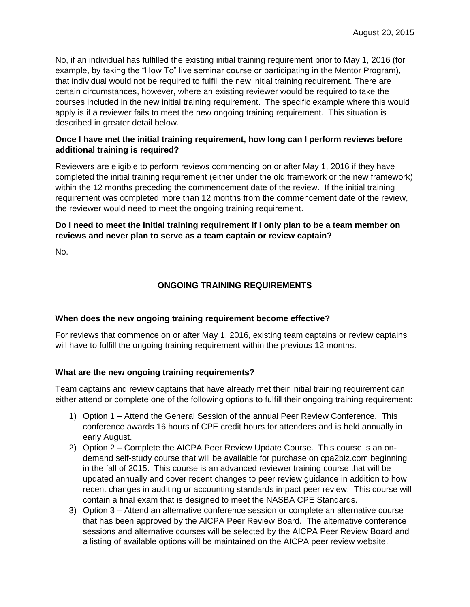No, if an individual has fulfilled the existing initial training requirement prior to May 1, 2016 (for example, by taking the "How To" live seminar course or participating in the Mentor Program), that individual would not be required to fulfill the new initial training requirement. There are certain circumstances, however, where an existing reviewer would be required to take the courses included in the new initial training requirement. The specific example where this would apply is if a reviewer fails to meet the new ongoing training requirement. This situation is described in greater detail below.

## **Once I have met the initial training requirement, how long can I perform reviews before additional training is required?**

Reviewers are eligible to perform reviews commencing on or after May 1, 2016 if they have completed the initial training requirement (either under the old framework or the new framework) within the 12 months preceding the commencement date of the review. If the initial training requirement was completed more than 12 months from the commencement date of the review, the reviewer would need to meet the ongoing training requirement.

## **Do I need to meet the initial training requirement if I only plan to be a team member on reviews and never plan to serve as a team captain or review captain?**

No.

# **ONGOING TRAINING REQUIREMENTS**

## **When does the new ongoing training requirement become effective?**

For reviews that commence on or after May 1, 2016, existing team captains or review captains will have to fulfill the ongoing training requirement within the previous 12 months.

## **What are the new ongoing training requirements?**

Team captains and review captains that have already met their initial training requirement can either attend or complete one of the following options to fulfill their ongoing training requirement:

- 1) Option 1 Attend the General Session of the annual Peer Review Conference. This conference awards 16 hours of CPE credit hours for attendees and is held annually in early August.
- 2) Option 2 Complete the AICPA Peer Review Update Course. This course is an ondemand self-study course that will be available for purchase on cpa2biz.com beginning in the fall of 2015. This course is an advanced reviewer training course that will be updated annually and cover recent changes to peer review guidance in addition to how recent changes in auditing or accounting standards impact peer review. This course will contain a final exam that is designed to meet the NASBA CPE Standards.
- 3) Option 3 Attend an alternative conference session or complete an alternative course that has been approved by the AICPA Peer Review Board. The alternative conference sessions and alternative courses will be selected by the AICPA Peer Review Board and a listing of available options will be maintained on the AICPA peer review website.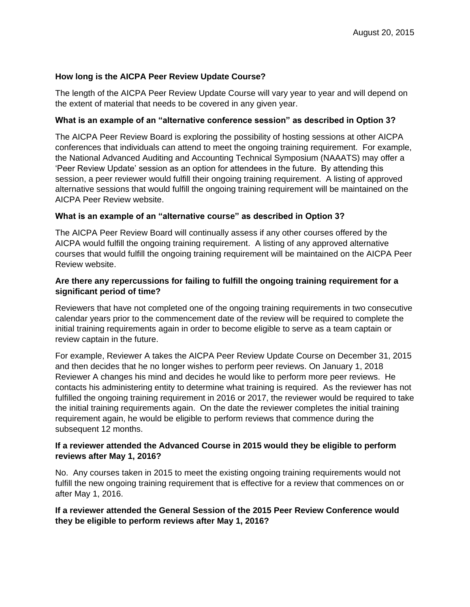### **How long is the AICPA Peer Review Update Course?**

The length of the AICPA Peer Review Update Course will vary year to year and will depend on the extent of material that needs to be covered in any given year.

#### **What is an example of an "alternative conference session" as described in Option 3?**

The AICPA Peer Review Board is exploring the possibility of hosting sessions at other AICPA conferences that individuals can attend to meet the ongoing training requirement. For example, the National Advanced Auditing and Accounting Technical Symposium (NAAATS) may offer a 'Peer Review Update' session as an option for attendees in the future. By attending this session, a peer reviewer would fulfill their ongoing training requirement. A listing of approved alternative sessions that would fulfill the ongoing training requirement will be maintained on the AICPA Peer Review website.

#### **What is an example of an "alternative course" as described in Option 3?**

The AICPA Peer Review Board will continually assess if any other courses offered by the AICPA would fulfill the ongoing training requirement. A listing of any approved alternative courses that would fulfill the ongoing training requirement will be maintained on the AICPA Peer Review website.

### **Are there any repercussions for failing to fulfill the ongoing training requirement for a significant period of time?**

Reviewers that have not completed one of the ongoing training requirements in two consecutive calendar years prior to the commencement date of the review will be required to complete the initial training requirements again in order to become eligible to serve as a team captain or review captain in the future.

For example, Reviewer A takes the AICPA Peer Review Update Course on December 31, 2015 and then decides that he no longer wishes to perform peer reviews. On January 1, 2018 Reviewer A changes his mind and decides he would like to perform more peer reviews. He contacts his administering entity to determine what training is required. As the reviewer has not fulfilled the ongoing training requirement in 2016 or 2017, the reviewer would be required to take the initial training requirements again. On the date the reviewer completes the initial training requirement again, he would be eligible to perform reviews that commence during the subsequent 12 months.

## **If a reviewer attended the Advanced Course in 2015 would they be eligible to perform reviews after May 1, 2016?**

No. Any courses taken in 2015 to meet the existing ongoing training requirements would not fulfill the new ongoing training requirement that is effective for a review that commences on or after May 1, 2016.

## **If a reviewer attended the General Session of the 2015 Peer Review Conference would they be eligible to perform reviews after May 1, 2016?**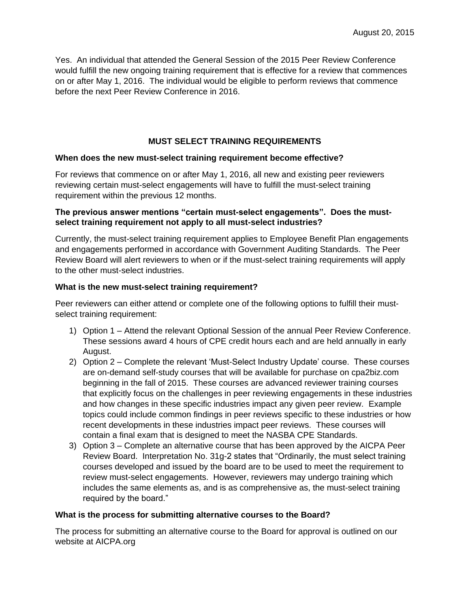Yes. An individual that attended the General Session of the 2015 Peer Review Conference would fulfill the new ongoing training requirement that is effective for a review that commences on or after May 1, 2016. The individual would be eligible to perform reviews that commence before the next Peer Review Conference in 2016.

## **MUST SELECT TRAINING REQUIREMENTS**

#### **When does the new must-select training requirement become effective?**

For reviews that commence on or after May 1, 2016, all new and existing peer reviewers reviewing certain must-select engagements will have to fulfill the must-select training requirement within the previous 12 months.

## **The previous answer mentions "certain must-select engagements". Does the mustselect training requirement not apply to all must-select industries?**

Currently, the must-select training requirement applies to Employee Benefit Plan engagements and engagements performed in accordance with Government Auditing Standards. The Peer Review Board will alert reviewers to when or if the must-select training requirements will apply to the other must-select industries.

#### **What is the new must-select training requirement?**

Peer reviewers can either attend or complete one of the following options to fulfill their mustselect training requirement:

- 1) Option 1 Attend the relevant Optional Session of the annual Peer Review Conference. These sessions award 4 hours of CPE credit hours each and are held annually in early August.
- 2) Option 2 Complete the relevant 'Must-Select Industry Update' course. These courses are on-demand self-study courses that will be available for purchase on cpa2biz.com beginning in the fall of 2015. These courses are advanced reviewer training courses that explicitly focus on the challenges in peer reviewing engagements in these industries and how changes in these specific industries impact any given peer review. Example topics could include common findings in peer reviews specific to these industries or how recent developments in these industries impact peer reviews. These courses will contain a final exam that is designed to meet the NASBA CPE Standards.
- 3) Option 3 Complete an alternative course that has been approved by the AICPA Peer Review Board. Interpretation No. 31g-2 states that "Ordinarily, the must select training courses developed and issued by the board are to be used to meet the requirement to review must-select engagements. However, reviewers may undergo training which includes the same elements as, and is as comprehensive as, the must-select training required by the board."

#### **What is the process for submitting alternative courses to the Board?**

The process for submitting an alternative course to the Board for approval is outlined on our website at AICPA.org